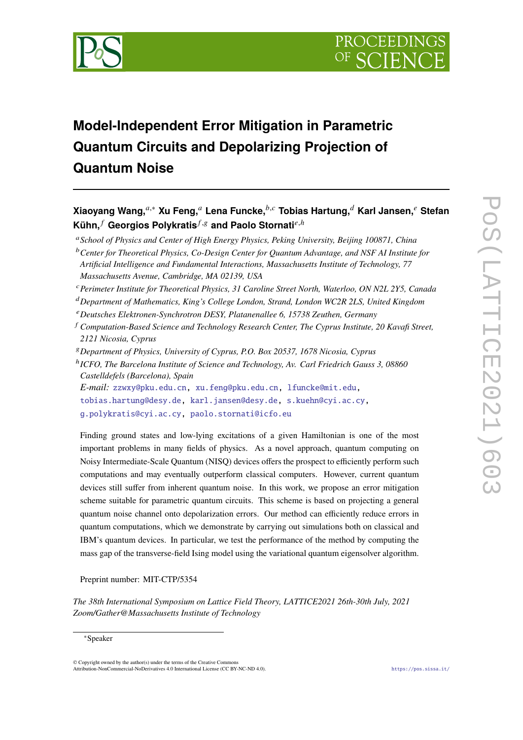

# **Model-Independent Error Mitigation in Parametric Quantum Circuits and Depolarizing Projection of Quantum Noise**

 $K$ ühn, $<sup>f</sup>$  Georgios Polykratis $<sup>f,g</sup>$  and Paolo Stornati<sup>e,h</sup></sup></sup> *School of Physics and Center of High Energy Physics, Peking University, Beijing 100871, China Center for Theoretical Physics, Co-Design Center for Quantum Advantage, and NSF AI Institute for Artificial Intelligence and Fundamental Interactions, Massachusetts Institute of Technology, 77 Massachusetts Avenue, Cambridge, MA 02139, USA Perimeter Institute for Theoretical Physics, 31 Caroline Street North, Waterloo, ON N2L 2Y5, Canada Department of Mathematics, King's College London, Strand, London WC2R 2LS, United Kingdom Deutsches Elektronen-Synchrotron DESY, Platanenallee 6, 15738 Zeuthen, Germany Computation-Based Science and Technology Research Center, The Cyprus Institute, 20 Kavafi Street, 2121 Nicosia, Cyprus Department of Physics, University of Cyprus, P.O. Box 20537, 1678 Nicosia, Cyprus* <sup>h</sup> ICFO, The Barcelona Institute of Science and Technology, Av. Carl Friedrich Gauss 3, 08860 *Castelldefels (Barcelona), Spain E-mail:* [zzwxy@pku.edu.cn,](mailto:zzwxy@pku.edu.cn) [xu.feng@pku.edu.cn,](mailto:xu.feng@pku.edu.cn) [lfuncke@mit.edu,](mailto:lfuncke@mit.edu)

**Xiaoyang Wang,**,<sup>∗</sup> **Xu Feng, Lena Funcke,**, **Tobias Hartung, Karl Jansen, Stefan**

[tobias.hartung@desy.de,](mailto:tobias.hartung@desy.de) [karl.jansen@desy.de,](mailto:karl.jansen@desy.de) [s.kuehn@cyi.ac.cy,](mailto:s.kuehn@cyi.ac.cy) [g.polykratis@cyi.ac.cy,](mailto:g.polykratis@cyi.ac.cy) [paolo.stornati@icfo.eu](mailto:paolo.stornati@icfo.eu)

Finding ground states and low-lying excitations of a given Hamiltonian is one of the most important problems in many fields of physics. As a novel approach, quantum computing on Noisy Intermediate-Scale Quantum (NISQ) devices offers the prospect to efficiently perform such computations and may eventually outperform classical computers. However, current quantum devices still suffer from inherent quantum noise. In this work, we propose an error mitigation scheme suitable for parametric quantum circuits. This scheme is based on projecting a general quantum noise channel onto depolarization errors. Our method can efficiently reduce errors in quantum computations, which we demonstrate by carrying out simulations both on classical and IBM's quantum devices. In particular, we test the performance of the method by computing the mass gap of the transverse-field Ising model using the variational quantum eigensolver algorithm.

Preprint number: MIT-CTP/5354

*The 38th International Symposium on Lattice Field Theory, LATTICE2021 26th-30th July, 2021 Zoom/Gather@Massachusetts Institute of Technology*

<sup>∗</sup>Speaker

© Copyright owned by the author(s) under the terms of the Creative Commons Attribution-NonCommercial-NoDerivatives 4.0 International License (CC BY-NC-ND 4.0). <https://pos.sissa.it/>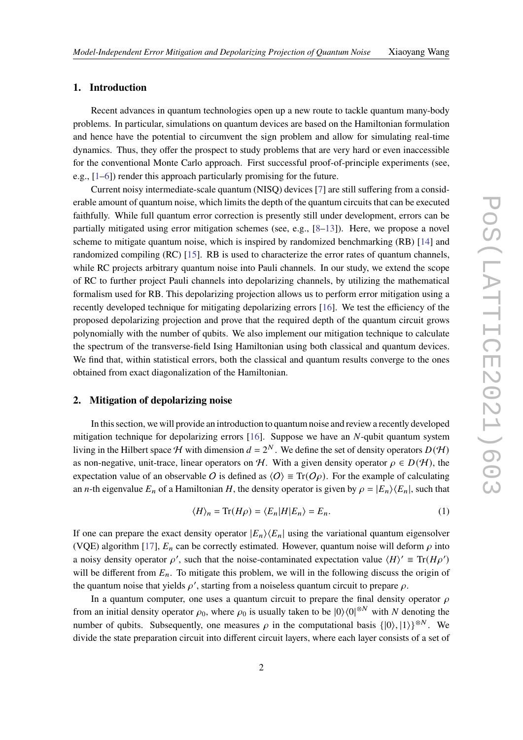## **1. Introduction**

Recent advances in quantum technologies open up a new route to tackle quantum many-body problems. In particular, simulations on quantum devices are based on the Hamiltonian formulation and hence have the potential to circumvent the sign problem and allow for simulating real-time dynamics. Thus, they offer the prospect to study problems that are very hard or even inaccessible for the conventional Monte Carlo approach. First successful proof-of-principle experiments (see, e.g., [\[1–](#page-9-0)[6\]](#page-10-0)) render this approach particularly promising for the future.

Current noisy intermediate-scale quantum (NISQ) devices [\[7\]](#page-10-1) are still suffering from a considerable amount of quantum noise, which limits the depth of the quantum circuits that can be executed faithfully. While full quantum error correction is presently still under development, errors can be partially mitigated using error mitigation schemes (see, e.g.,  $[8-13]$  $[8-13]$ ). Here, we propose a novel scheme to mitigate quantum noise, which is inspired by randomized benchmarking (RB) [\[14\]](#page-10-4) and randomized compiling (RC) [\[15\]](#page-10-5). RB is used to characterize the error rates of quantum channels, while RC projects arbitrary quantum noise into Pauli channels. In our study, we extend the scope of RC to further project Pauli channels into depolarizing channels, by utilizing the mathematical formalism used for RB. This depolarizing projection allows us to perform error mitigation using a recently developed technique for mitigating depolarizing errors [\[16\]](#page-10-6). We test the efficiency of the proposed depolarizing projection and prove that the required depth of the quantum circuit grows polynomially with the number of qubits. We also implement our mitigation technique to calculate the spectrum of the transverse-field Ising Hamiltonian using both classical and quantum devices. We find that, within statistical errors, both the classical and quantum results converge to the ones obtained from exact diagonalization of the Hamiltonian.

## **2. Mitigation of depolarizing noise**

In this section, we will provide an introduction to quantum noise and review a recently developed mitigation technique for depolarizing errors  $[16]$ . Suppose we have an  $N$ -qubit quantum system living in the Hilbert space H with dimension  $d = 2^N$ . We define the set of density operators  $D(\mathcal{H})$ as non-negative, unit-trace, linear operators on H. With a given density operator  $\rho \in D(H)$ , the expectation value of an observable O is defined as  $\langle O \rangle = \text{Tr}(O\rho)$ . For the example of calculating an *n*-th eigenvalue  $E_n$  of a Hamiltonian H, the density operator is given by  $\rho = |E_n\rangle\langle E_n|$ , such that

$$
\langle H \rangle_n = \text{Tr}(H\rho) = \langle E_n | H | E_n \rangle = E_n. \tag{1}
$$

If one can prepare the exact density operator  $|E_n\rangle\langle E_n|$  using the variational quantum eigensolver (VQE) algorithm [\[17\]](#page-10-7),  $E_n$  can be correctly estimated. However, quantum noise will deform  $\rho$  into a noisy density operator  $\rho'$ , such that the noise-contaminated expectation value  $\langle H \rangle' \equiv \text{Tr}(H\rho')$ will be different from  $E_n$ . To mitigate this problem, we will in the following discuss the origin of the quantum noise that yields  $\rho'$ , starting from a noiseless quantum circuit to prepare  $\rho$ .

In a quantum computer, one uses a quantum circuit to prepare the final density operator  $\rho$ from an initial density operator  $\rho_0$ , where  $\rho_0$  is usually taken to be  $|0\rangle\langle 0|^{\otimes N}$  with N denoting the number of qubits. Subsequently, one measures  $\rho$  in the computational basis  $\{|0\rangle, |1\rangle\}^{\otimes N}$ . We divide the state preparation circuit into different circuit layers, where each layer consists of a set of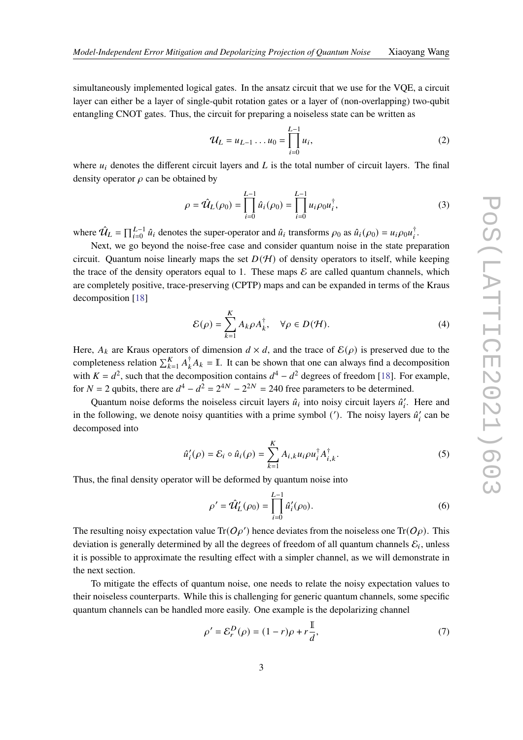simultaneously implemented logical gates. In the ansatz circuit that we use for the VQE, a circuit layer can either be a layer of single-qubit rotation gates or a layer of (non-overlapping) two-qubit entangling CNOT gates. Thus, the circuit for preparing a noiseless state can be written as

<span id="page-2-2"></span>
$$
\mathcal{U}_L = u_{L-1} \dots u_0 = \prod_{i=0}^{L-1} u_i,\tag{2}
$$

where  $u_i$  denotes the different circuit layers and  $L$  is the total number of circuit layers. The final density operator  $\rho$  can be obtained by

$$
\rho = \hat{\mathcal{U}}_L(\rho_0) = \prod_{i=0}^{L-1} \hat{u}_i(\rho_0) = \prod_{i=0}^{L-1} u_i \rho_0 u_i^{\dagger},
$$
\n(3)

where  $\hat{U}_L = \prod_{i=0}^{L-1} \hat{u}_i$  denotes the super-operator and  $\hat{u}_i$  transforms  $\rho_0$  as  $\hat{u}_i(\rho_0) = u_i \rho_0 u_i^{\dagger}$ .

Next, we go beyond the noise-free case and consider quantum noise in the state preparation circuit. Quantum noise linearly maps the set  $D(H)$  of density operators to itself, while keeping the trace of the density operators equal to 1. These maps  $\mathcal E$  are called quantum channels, which are completely positive, trace-preserving (CPTP) maps and can be expanded in terms of the Kraus decomposition [\[18\]](#page-10-8)

$$
\mathcal{E}(\rho) = \sum_{k=1}^{K} A_k \rho A_k^{\dagger}, \quad \forall \rho \in D(\mathcal{H}).
$$
\n(4)

Here,  $A_k$  are Kraus operators of dimension  $d \times d$ , and the trace of  $\mathcal{E}(\rho)$  is preserved due to the completeness relation  $\sum_{k=1}^{K} A_k^{\dagger} A_k = \mathbb{I}$ . It can be shown that one can always find a decomposition with  $K = d^2$ , such that the decomposition contains  $d^4 - d^2$  degrees of freedom [\[18\]](#page-10-8). For example, for  $N = 2$  qubits, there are  $d^4 - d^2 = 2^{4N} - 2^{2N} = 240$  free parameters to be determined.

Quantum noise deforms the noiseless circuit layers  $\hat{u}_i$  into noisy circuit layers  $\hat{u}'_i$ . Here and in the following, we denote noisy quantities with a prime symbol ('). The noisy layers  $\hat{u}'_i$  can be decomposed into

$$
\hat{u}'_i(\rho) = \mathcal{E}_i \circ \hat{u}_i(\rho) = \sum_{k=1}^K A_{i,k} u_i \rho u_i^{\dagger} A_{i,k}^{\dagger}.
$$
 (5)

Thus, the final density operator will be deformed by quantum noise into

<span id="page-2-0"></span>
$$
\rho' = \hat{\mathcal{U}}'_{L}(\rho_0) = \prod_{i=0}^{L-1} \hat{u}'_i(\rho_0).
$$
\n(6)

The resulting noisy expectation value Tr( $O\rho'$ ) hence deviates from the noiseless one Tr( $O\rho$ ). This deviation is generally determined by all the degrees of freedom of all quantum channels  $\mathcal{E}_i$ , unless it is possible to approximate the resulting effect with a simpler channel, as we will demonstrate in the next section.

To mitigate the effects of quantum noise, one needs to relate the noisy expectation values to their noiseless counterparts. While this is challenging for generic quantum channels, some specific quantum channels can be handled more easily. One example is the depolarizing channel

<span id="page-2-1"></span>
$$
\rho' = \mathcal{E}_r^D(\rho) = (1 - r)\rho + r\frac{\mathbb{I}}{d},\tag{7}
$$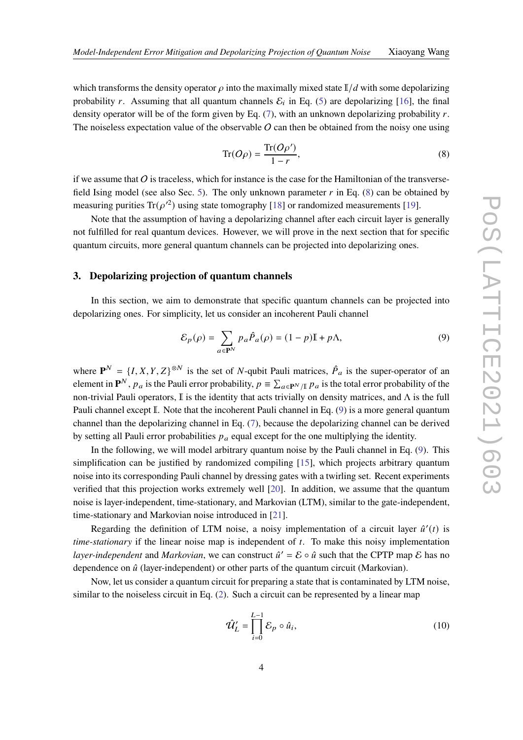which transforms the density operator  $\rho$  into the maximally mixed state  $\mathbb{I}/d$  with some depolarizing probability r. Assuming that all quantum channels  $\mathcal{E}_i$  in Eq. [\(5\)](#page-2-0) are depolarizing [\[16\]](#page-10-6), the final density operator will be of the form given by Eq.  $(7)$ , with an unknown depolarizing probability r. The noiseless expectation value of the observable  $O$  can then be obtained from the noisy one using

<span id="page-3-0"></span>
$$
\operatorname{Tr}(O\rho) = \frac{\operatorname{Tr}(O\rho')}{1 - r},\tag{8}
$$

if we assume that  $\overline{O}$  is traceless, which for instance is the case for the Hamiltonian of the transverse-field Ising model (see also Sec. [5\)](#page-6-0). The only unknown parameter  $r$  in Eq. [\(8\)](#page-3-0) can be obtained by measuring purities Tr( $\rho'^2$ ) using state tomography [\[18\]](#page-10-8) or randomized measurements [\[19\]](#page-10-9).

Note that the assumption of having a depolarizing channel after each circuit layer is generally not fulfilled for real quantum devices. However, we will prove in the next section that for specific quantum circuits, more general quantum channels can be projected into depolarizing ones.

#### <span id="page-3-2"></span>**3. Depolarizing projection of quantum channels**

In this section, we aim to demonstrate that specific quantum channels can be projected into depolarizing ones. For simplicity, let us consider an incoherent Pauli channel

<span id="page-3-1"></span>
$$
\mathcal{E}_p(\rho) = \sum_{a \in \mathbf{P}^N} p_a \hat{P}_a(\rho) = (1 - p)\mathbb{I} + p\Lambda,\tag{9}
$$

where  $P^N = \{I, X, Y, Z\}^{\otimes N}$  is the set of N-qubit Pauli matrices,  $\hat{P}_a$  is the super-operator of an element in  $\mathbf{P}^N$ ,  $p_a$  is the Pauli error probability,  $p \equiv \sum_{a \in \mathbf{P}^N/\mathbb{I}} p_a$  is the total error probability of the non-trivial Pauli operators, I is the identity that acts trivially on density matrices, and Λ is the full Pauli channel except I. Note that the incoherent Pauli channel in Eq. [\(9\)](#page-3-1) is a more general quantum channel than the depolarizing channel in Eq. [\(7\)](#page-2-1), because the depolarizing channel can be derived by setting all Pauli error probabilities  $p_a$  equal except for the one multiplying the identity.

In the following, we will model arbitrary quantum noise by the Pauli channel in Eq. [\(9\)](#page-3-1). This simplification can be justified by randomized compiling [\[15\]](#page-10-5), which projects arbitrary quantum noise into its corresponding Pauli channel by dressing gates with a twirling set. Recent experiments verified that this projection works extremely well [\[20\]](#page-10-10). In addition, we assume that the quantum noise is layer-independent, time-stationary, and Markovian (LTM), similar to the gate-independent, time-stationary and Markovian noise introduced in [\[21\]](#page-11-0).

Regarding the definition of LTM noise, a noisy implementation of a circuit layer  $\hat{u}'(t)$  is *time-stationary* if the linear noise map is independent of t. To make this noisy implementation *layer-independent* and *Markovian*, we can construct  $\hat{u}' = \mathcal{E} \circ \hat{u}$  such that the CPTP map  $\mathcal{E}$  has no dependence on  $\hat{u}$  (layer-independent) or other parts of the quantum circuit (Markovian).

Now, let us consider a quantum circuit for preparing a state that is contaminated by LTM noise, similar to the noiseless circuit in Eq.  $(2)$ . Such a circuit can be represented by a linear map

$$
\hat{\mathcal{U}}_L' = \prod_{i=0}^{L-1} \mathcal{E}_p \circ \hat{u}_i,\tag{10}
$$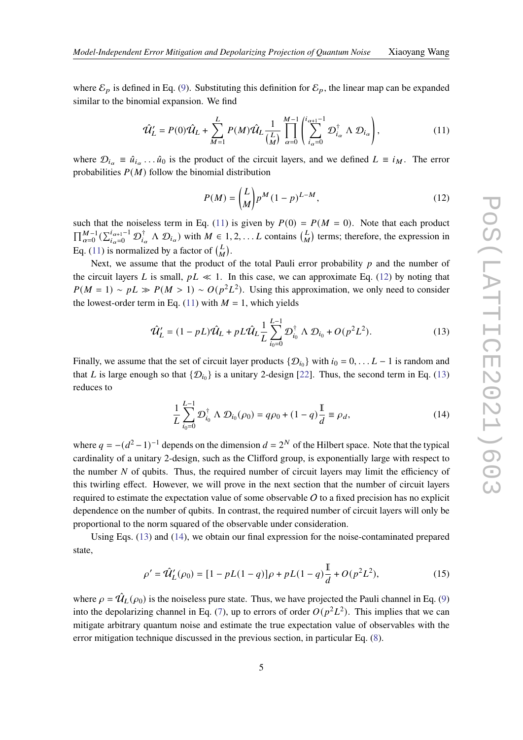where  $\mathcal{E}_p$  is defined in Eq. [\(9\)](#page-3-1). Substituting this definition for  $\mathcal{E}_p$ , the linear map can be expanded similar to the binomial expansion. We find

$$
\hat{\mathcal{U}}_L' = P(0)\hat{\mathcal{U}}_L + \sum_{M=1}^L P(M)\hat{\mathcal{U}}_L \frac{1}{\binom{L}{M}} \prod_{\alpha=0}^{M-1} \left( \sum_{i_\alpha=0}^{i_{\alpha+1}-1} \mathcal{D}_{i_\alpha}^\dagger \wedge \mathcal{D}_{i_\alpha} \right),\tag{11}
$$

where  $\mathcal{D}_{i_{\alpha}} \equiv \hat{u}_{i_{\alpha}} \dots \hat{u}_0$  is the product of the circuit layers, and we defined  $L \equiv i_M$ . The error probabilities  $P(M)$  follow the binomial distribution

<span id="page-4-2"></span><span id="page-4-1"></span><span id="page-4-0"></span>
$$
P(M) = {L \choose M} p^M (1-p)^{L-M},
$$
\n(12)

such that the noiseless term in Eq. [\(11\)](#page-4-0) is given by  $P(0) = P(M = 0)$ . Note that each product  $\prod_{\alpha=0}^{M-1}(\sum_{i_{\alpha}=0}^{i_{\alpha+1}-1} \mathcal{D}_{i_{\alpha}}^{\dagger} \wedge \mathcal{D}_{i_{\alpha}})$  with  $M \in 1, 2, \ldots L$  contains  $\binom{L}{M}$  terms; therefore, the expression in Eq. [\(11\)](#page-4-0) is normalized by a factor of  $\binom{L}{M}$ .

Next, we assume that the product of the total Pauli error probability  $p$  and the number of the circuit layers L is small,  $pL \ll 1$ . In this case, we can approximate Eq. [\(12\)](#page-4-1) by noting that  $P(M = 1) \sim pL \gg P(M > 1) \sim O(p^2 L^2)$ . Using this approximation, we only need to consider the lowest-order term in Eq. [\(11\)](#page-4-0) with  $M = 1$ , which yields

$$
\hat{\mathcal{U}}'_{L} = (1 - pL)\hat{\mathcal{U}}_{L} + pL\hat{\mathcal{U}}_{L}\frac{1}{L}\sum_{i_0=0}^{L-1} \mathcal{D}_{i_0}^{\dagger} \wedge \mathcal{D}_{i_0} + O(p^2L^2). \tag{13}
$$

Finally, we assume that the set of circuit layer products  $\{\mathcal{D}_{i_0}\}\$  with  $i_0 = 0, \ldots L-1$  is random and that L is large enough so that  $\{\mathcal{D}_{i_0}\}\$ is a unitary 2-design [\[22\]](#page-11-1). Thus, the second term in Eq. [\(13\)](#page-4-2) reduces to

<span id="page-4-3"></span>
$$
\frac{1}{L} \sum_{i_0=0}^{L-1} \mathcal{D}_{i_0}^{\dagger} \wedge \mathcal{D}_{i_0}(\rho_0) = q \rho_0 + (1 - q) \frac{\mathbb{I}}{d} \equiv \rho_d,
$$
\n(14)

where  $q = -(d^2 - 1)^{-1}$  depends on the dimension  $d = 2^N$  of the Hilbert space. Note that the typical cardinality of a unitary 2-design, such as the Clifford group, is exponentially large with respect to the number  $N$  of qubits. Thus, the required number of circuit layers may limit the efficiency of this twirling effect. However, we will prove in the next section that the number of circuit layers required to estimate the expectation value of some observable  $O$  to a fixed precision has no explicit dependence on the number of qubits. In contrast, the required number of circuit layers will only be proportional to the norm squared of the observable under consideration.

Using Eqs. [\(13\)](#page-4-2) and [\(14\)](#page-4-3), we obtain our final expression for the noise-contaminated prepared state,

<span id="page-4-4"></span>
$$
\rho' = \hat{\mathcal{U}}_L'(\rho_0) = [1 - pL(1 - q)]\rho + pL(1 - q)\frac{\mathbb{I}}{d} + O(p^2L^2),\tag{15}
$$

where  $\rho = \hat{U}_L(\rho_0)$  is the noiseless pure state. Thus, we have projected the Pauli channel in Eq. [\(9\)](#page-3-1) into the depolarizing channel in Eq. [\(7\)](#page-2-1), up to errors of order  $O(p^2L^2)$ . This implies that we can mitigate arbitrary quantum noise and estimate the true expectation value of observables with the error mitigation technique discussed in the previous section, in particular Eq. [\(8\)](#page-3-0).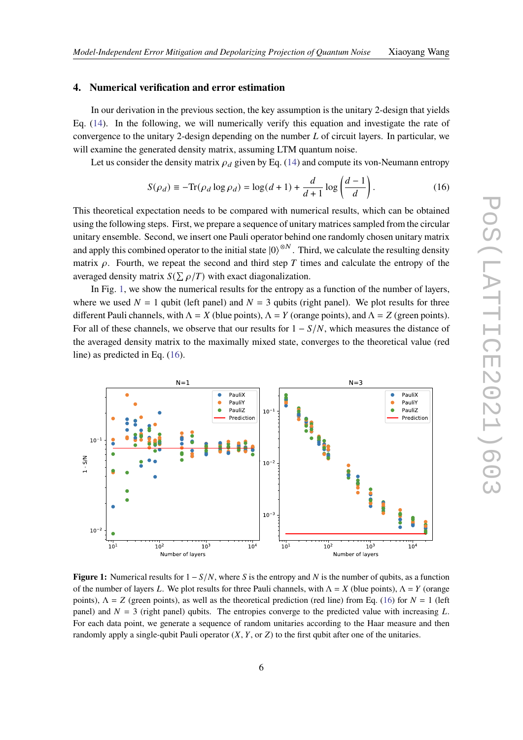## **4. Numerical verification and error estimation**

In our derivation in the previous section, the key assumption is the unitary 2-design that yields Eq. [\(14\)](#page-4-3). In the following, we will numerically verify this equation and investigate the rate of convergence to the unitary 2-design depending on the number  $L$  of circuit layers. In particular, we will examine the generated density matrix, assuming LTM quantum noise.

Let us consider the density matrix  $\rho_d$  given by Eq. [\(14\)](#page-4-3) and compute its von-Neumann entropy

<span id="page-5-1"></span>
$$
S(\rho_d) \equiv -\text{Tr}(\rho_d \log \rho_d) = \log(d+1) + \frac{d}{d+1} \log \left(\frac{d-1}{d}\right). \tag{16}
$$

This theoretical expectation needs to be compared with numerical results, which can be obtained using the following steps. First, we prepare a sequence of unitary matrices sampled from the circular unitary ensemble. Second, we insert one Pauli operator behind one randomly chosen unitary matrix and apply this combined operator to the initial state  $|0\rangle^{\otimes N}$ . Third, we calculate the resulting density matrix  $\rho$ . Fourth, we repeat the second and third step T times and calculate the entropy of the averaged density matrix  $S(\sum \rho/T)$  with exact diagonalization.

In Fig. [1,](#page-5-0) we show the numerical results for the entropy as a function of the number of layers, where we used  $N = 1$  qubit (left panel) and  $N = 3$  qubits (right panel). We plot results for three different Pauli channels, with  $\Lambda = X$  (blue points),  $\Lambda = Y$  (orange points), and  $\Lambda = Z$  (green points). For all of these channels, we observe that our results for  $1 - S/N$ , which measures the distance of the averaged density matrix to the maximally mixed state, converges to the theoretical value (red line) as predicted in Eq. [\(16\)](#page-5-1).

<span id="page-5-0"></span>

**Figure 1:** Numerical results for  $1 - S/N$ , where S is the entropy and N is the number of qubits, as a function of the number of layers L. We plot results for three Pauli channels, with  $\Lambda = X$  (blue points),  $\Lambda = Y$  (orange points),  $\Lambda = Z$  (green points), as well as the theoretical prediction (red line) from Eq. [\(16\)](#page-5-1) for  $N = 1$  (left panel) and  $N = 3$  (right panel) qubits. The entropies converge to the predicted value with increasing L. For each data point, we generate a sequence of random unitaries according to the Haar measure and then randomly apply a single-qubit Pauli operator  $(X, Y,$  or  $Z)$  to the first qubit after one of the unitaries.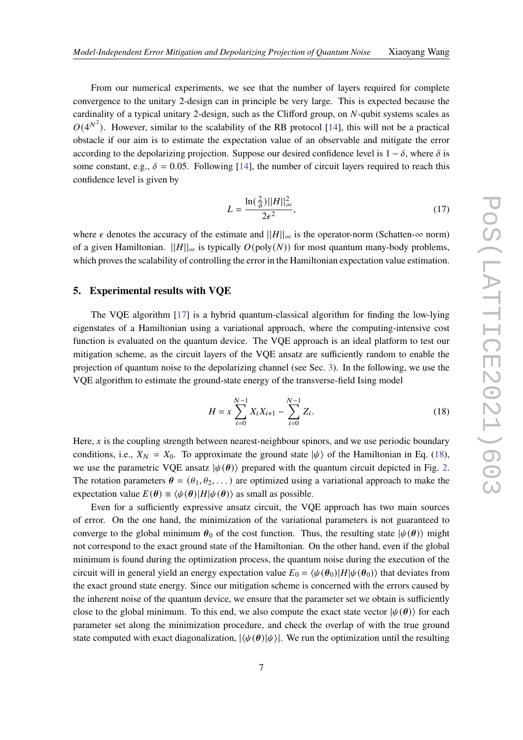From our numerical experiments, we see that the number of layers required for complete convergence to the unitary 2-design can in principle be very large. This is expected because the cardinality of a typical unitary 2-design, such as the Clifford group, on  $N$ -qubit systems scales as  $O(4^{N^2})$ . However, similar to the scalability of the RB protocol [\[14\]](#page-10-4), this will not be a practical obstacle if our aim is to estimate the expectation value of an observable and mitigate the error according to the depolarizing projection. Suppose our desired confidence level is  $1 - \delta$ , where  $\delta$  is some constant, e.g.,  $\delta = 0.05$ . Following [\[14\]](#page-10-4), the number of circuit layers required to reach this confidence level is given by

<span id="page-6-2"></span>
$$
L = \frac{\ln\left(\frac{2}{\delta}\right) ||H||_{\infty}^2}{2\epsilon^2},\tag{17}
$$

where  $\epsilon$  denotes the accuracy of the estimate and  $||H||_{\infty}$  is the operator-norm (Schatten- $\infty$  norm) of a given Hamiltonian.  $||H||_{\infty}$  is typically  $O(poly(N))$  for most quantum many-body problems, which proves the scalability of controlling the error in the Hamiltonian expectation value estimation.

#### <span id="page-6-0"></span>**5. Experimental results with VQE**

The VQE algorithm [\[17\]](#page-10-7) is a hybrid quantum-classical algorithm for finding the low-lying eigenstates of a Hamiltonian using a variational approach, where the computing-intensive cost function is evaluated on the quantum device. The VQE approach is an ideal platform to test our mitigation scheme, as the circuit layers of the VQE ansatz are sufficiently random to enable the projection of quantum noise to the depolarizing channel (see Sec. [3\)](#page-3-2). In the following, we use the VQE algorithm to estimate the ground-state energy of the transverse-field Ising model

<span id="page-6-1"></span>
$$
H = x \sum_{i=0}^{N-1} X_i X_{i+1} - \sum_{i=0}^{N-1} Z_i.
$$
 (18)

Here,  $x$  is the coupling strength between nearest-neighbour spinors, and we use periodic boundary conditions, i.e.,  $X_N = X_0$ . To approximate the ground state  $|\psi\rangle$  of the Hamiltonian in Eq. [\(18\)](#page-6-1), we use the parametric VQE ansatz  $|\psi(\theta)\rangle$  prepared with the quantum circuit depicted in Fig. [2.](#page-7-0) The rotation parameters  $\theta = (\theta_1, \theta_2, \dots)$  are optimized using a variational approach to make the expectation value  $E(\theta) \equiv \langle \psi(\theta)|H|\psi(\theta)\rangle$  as small as possible.

Even for a sufficiently expressive ansatz circuit, the VQE approach has two main sources of error. On the one hand, the minimization of the variational parameters is not guaranteed to converge to the global minimum  $\theta_0$  of the cost function. Thus, the resulting state  $|\psi(\theta)\rangle$  might not correspond to the exact ground state of the Hamiltonian. On the other hand, even if the global minimum is found during the optimization process, the quantum noise during the execution of the circuit will in general yield an energy expectation value  $E_0 = \langle \psi(\theta_0)|H|\psi(\theta_0)\rangle$  that deviates from the exact ground state energy. Since our mitigation scheme is concerned with the errors caused by the inherent noise of the quantum device, we ensure that the parameter set we obtain is sufficiently close to the global minimum. To this end, we also compute the exact state vector  $|\psi(\theta)\rangle$  for each parameter set along the minimization procedure, and check the overlap of with the true ground state computed with exact diagonalization,  $|\langle \psi(\theta)|\psi \rangle|$ . We run the optimization until the resulting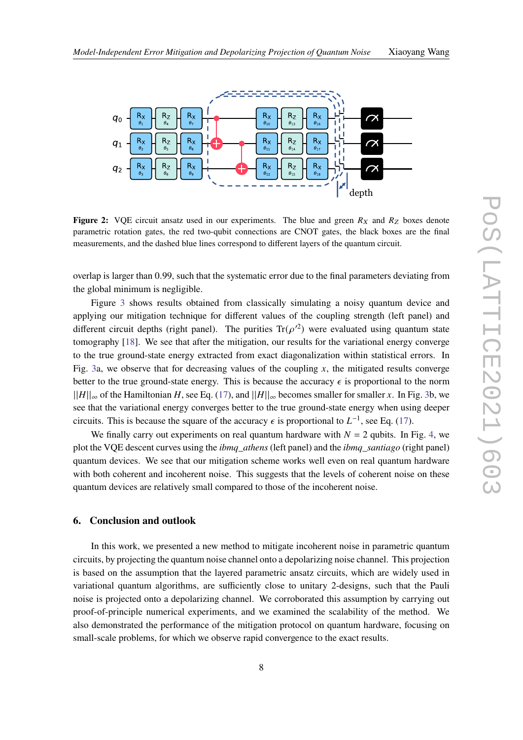<span id="page-7-0"></span>

**Figure 2:** VQE circuit ansatz used in our experiments. The blue and green  $R_X$  and  $R_Z$  boxes denote parametric rotation gates, the red two-qubit connections are CNOT gates, the black boxes are the final measurements, and the dashed blue lines correspond to different layers of the quantum circuit.

overlap is larger than 0.99, such that the systematic error due to the final parameters deviating from the global minimum is negligible.

Figure [3](#page-8-0) shows results obtained from classically simulating a noisy quantum device and applying our mitigation technique for different values of the coupling strength (left panel) and different circuit depths (right panel). The purities  $\text{Tr}(\rho'^2)$  were evaluated using quantum state tomography [\[18\]](#page-10-8). We see that after the mitigation, our results for the variational energy converge to the true ground-state energy extracted from exact diagonalization within statistical errors. In Fig. [3a](#page-8-0), we observe that for decreasing values of the coupling  $x$ , the mitigated results converge better to the true ground-state energy. This is because the accuracy  $\epsilon$  is proportional to the norm  $||H||_{\infty}$  of the Hamiltonian H, see Eq. [\(17\)](#page-6-2), and  $||H||_{\infty}$  becomes smaller for smaller x. In Fig. [3b](#page-8-0), we see that the variational energy converges better to the true ground-state energy when using deeper circuits. This is because the square of the accuracy  $\epsilon$  is proportional to  $L^{-1}$ , see Eq. [\(17\)](#page-6-2).

We finally carry out experiments on real quantum hardware with  $N = 2$  qubits. In Fig. [4,](#page-8-1) we plot the VQE descent curves using the *ibmq\_athens* (left panel) and the *ibmq\_santiago* (right panel) quantum devices. We see that our mitigation scheme works well even on real quantum hardware with both coherent and incoherent noise. This suggests that the levels of coherent noise on these quantum devices are relatively small compared to those of the incoherent noise.

#### **6. Conclusion and outlook**

In this work, we presented a new method to mitigate incoherent noise in parametric quantum circuits, by projecting the quantum noise channel onto a depolarizing noise channel. This projection is based on the assumption that the layered parametric ansatz circuits, which are widely used in variational quantum algorithms, are sufficiently close to unitary 2-designs, such that the Pauli noise is projected onto a depolarizing channel. We corroborated this assumption by carrying out proof-of-principle numerical experiments, and we examined the scalability of the method. We also demonstrated the performance of the mitigation protocol on quantum hardware, focusing on small-scale problems, for which we observe rapid convergence to the exact results.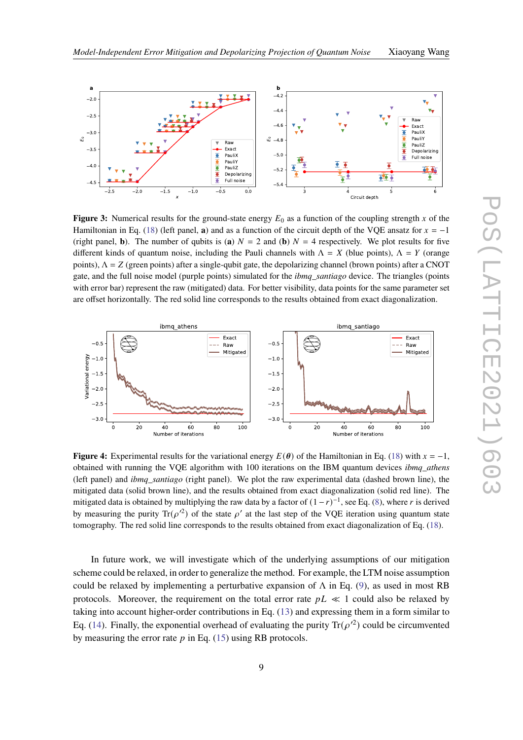

<span id="page-8-0"></span>

**Figure 3:** Numerical results for the ground-state energy  $E_0$  as a function of the coupling strength x of the Hamiltonian in Eq. [\(18\)](#page-6-1) (left panel, **a**) and as a function of the circuit depth of the VQE ansatz for  $x = -1$ (right panel, **b**). The number of qubits is (**a**)  $N = 2$  and (**b**)  $N = 4$  respectively. We plot results for five different kinds of quantum noise, including the Pauli channels with  $\Lambda = X$  (blue points),  $\Lambda = Y$  (orange points),  $\Lambda = Z$  (green points) after a single-qubit gate, the depolarizing channel (brown points) after a CNOT gate, and the full noise model (purple points) simulated for the *ibmq\_santiago* device. The triangles (points with error bar) represent the raw (mitigated) data. For better visibility, data points for the same parameter set are offset horizontally. The red solid line corresponds to the results obtained from exact diagonalization.

<span id="page-8-1"></span>

**Figure 4:** Experimental results for the variational energy  $E(\theta)$  of the Hamiltonian in Eq. [\(18\)](#page-6-1) with  $x = -1$ , obtained with running the VQE algorithm with 100 iterations on the IBM quantum devices *ibmq\_athens* (left panel) and *ibmq\_santiago* (right panel). We plot the raw experimental data (dashed brown line), the mitigated data (solid brown line), and the results obtained from exact diagonalization (solid red line). The mitigated data is obtained by multiplying the raw data by a factor of  $(1 - r)^{-1}$ , see Eq. [\(8\)](#page-3-0), where r is derived by measuring the purity  $\text{Tr}(\rho^2)$  of the state  $\rho'$  at the last step of the VQE iteration using quantum state tomography. The red solid line corresponds to the results obtained from exact diagonalization of Eq. [\(18\)](#page-6-1).

In future work, we will investigate which of the underlying assumptions of our mitigation scheme could be relaxed, in order to generalize the method. For example, the LTM noise assumption could be relaxed by implementing a perturbative expansion of  $\Lambda$  in Eq. [\(9\)](#page-3-1), as used in most RB protocols. Moreover, the requirement on the total error rate  $pL \ll 1$  could also be relaxed by taking into account higher-order contributions in Eq. [\(13\)](#page-4-2) and expressing them in a form similar to Eq. [\(14\)](#page-4-3). Finally, the exponential overhead of evaluating the purity  $\text{Tr}(\rho'^2)$  could be circumvented by measuring the error rate  $p$  in Eq. [\(15\)](#page-4-4) using RB protocols.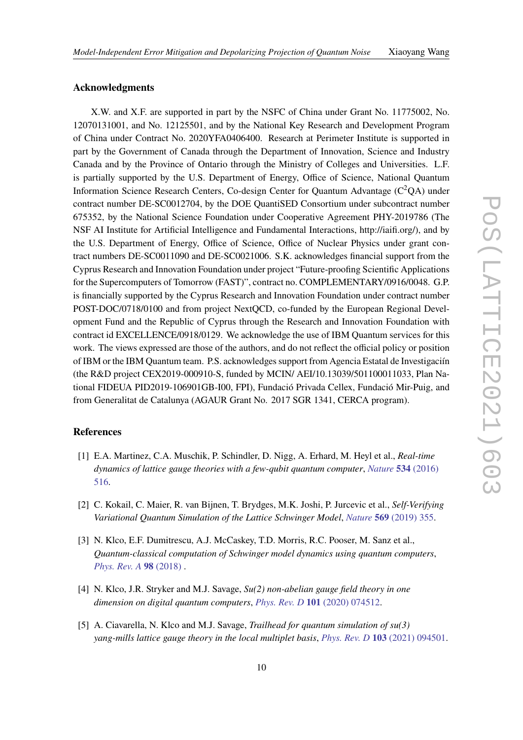### **Acknowledgments**

X.W. and X.F. are supported in part by the NSFC of China under Grant No. 11775002, No. 12070131001, and No. 12125501, and by the National Key Research and Development Program of China under Contract No. 2020YFA0406400. Research at Perimeter Institute is supported in part by the Government of Canada through the Department of Innovation, Science and Industry Canada and by the Province of Ontario through the Ministry of Colleges and Universities. L.F. is partially supported by the U.S. Department of Energy, Office of Science, National Quantum Information Science Research Centers, Co-design Center for Quantum Advantage  $(C<sup>2</sup>QA)$  under contract number DE-SC0012704, by the DOE QuantiSED Consortium under subcontract number 675352, by the National Science Foundation under Cooperative Agreement PHY-2019786 (The NSF AI Institute for Artificial Intelligence and Fundamental Interactions, http://iaifi.org/), and by the U.S. Department of Energy, Office of Science, Office of Nuclear Physics under grant contract numbers DE-SC0011090 and DE-SC0021006. S.K. acknowledges financial support from the Cyprus Research and Innovation Foundation under project "Future-proofing Scientific Applications for the Supercomputers of Tomorrow (FAST)", contract no. COMPLEMENTARY/0916/0048. G.P. is financially supported by the Cyprus Research and Innovation Foundation under contract number POST-DOC/0718/0100 and from project NextQCD, co-funded by the European Regional Development Fund and the Republic of Cyprus through the Research and Innovation Foundation with contract id EXCELLENCE/0918/0129. We acknowledge the use of IBM Quantum services for this work. The views expressed are those of the authors, and do not reflect the official policy or position of IBM or the IBM Quantum team. P.S. acknowledges support from Agencia Estatal de Investigaciín (the R&D project CEX2019-000910-S, funded by MCIN/ AEI/10.13039/501100011033, Plan National FIDEUA PID2019-106901GB-I00, FPI), Fundació Privada Cellex, Fundació Mir-Puig, and from Generalitat de Catalunya (AGAUR Grant No. 2017 SGR 1341, CERCA program).

## **References**

- <span id="page-9-0"></span>[1] E.A. Martinez, C.A. Muschik, P. Schindler, D. Nigg, A. Erhard, M. Heyl et al., *Real-time dynamics of lattice gauge theories with a few-qubit quantum computer*, *[Nature](https://doi.org/10.1038/nature18318)* **534** (2016) [516.](https://doi.org/10.1038/nature18318)
- [2] C. Kokail, C. Maier, R. van Bijnen, T. Brydges, M.K. Joshi, P. Jurcevic et al., *Self-Verifying Variational Quantum Simulation of the Lattice Schwinger Model*, *Nature* **569** [\(2019\) 355.](https://doi.org/10.1038/s41586-019-1177-4)
- [3] N. Klco, E.F. Dumitrescu, A.J. McCaskey, T.D. Morris, R.C. Pooser, M. Sanz et al., *Quantum-classical computation of Schwinger model dynamics using quantum computers*, *[Phys. Rev. A](https://doi.org/10.1103/physreva.98.032331)* **98** (2018) .
- [4] N. Klco, J.R. Stryker and M.J. Savage, *Su(2) non-abelian gauge field theory in one dimension on digital quantum computers*, *Phys. Rev. D* **101** [\(2020\) 074512.](https://doi.org/10.1103/PhysRevD.101.074512)
- [5] A. Ciavarella, N. Klco and M.J. Savage, *Trailhead for quantum simulation of su(3) yang-mills lattice gauge theory in the local multiplet basis*, *Phys. Rev. D* **103** [\(2021\) 094501.](https://doi.org/10.1103/PhysRevD.103.094501)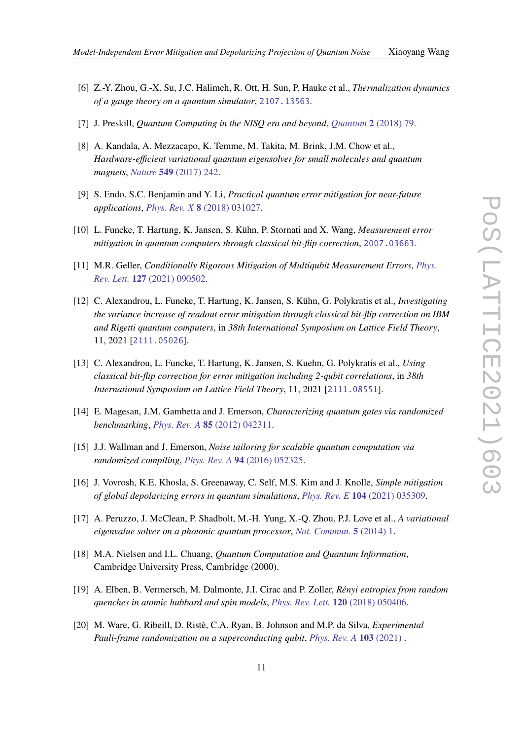- <span id="page-10-0"></span>[6] Z.-Y. Zhou, G.-X. Su, J.C. Halimeh, R. Ott, H. Sun, P. Hauke et al., *Thermalization dynamics of a gauge theory on a quantum simulator*, [2107.13563](https://arxiv.org/abs/2107.13563).
- <span id="page-10-1"></span>[7] J. Preskill, *Quantum Computing in the NISQ era and beyond*, *Quantum* **2** [\(2018\) 79.](https://doi.org/10.22331/q-2018-08-06-79)
- <span id="page-10-2"></span>[8] A. Kandala, A. Mezzacapo, K. Temme, M. Takita, M. Brink, J.M. Chow et al., *Hardware-efficient variational quantum eigensolver for small molecules and quantum magnets*, *Nature* **549** [\(2017\) 242.](https://doi.org/10.1038/nature23879)
- [9] S. Endo, S.C. Benjamin and Y. Li, *Practical quantum error mitigation for near-future applications*, *Phys. Rev. X* **8** [\(2018\) 031027.](https://doi.org/10.1103/PhysRevX.8.031027)
- [10] L. Funcke, T. Hartung, K. Jansen, S. Kühn, P. Stornati and X. Wang, *Measurement error mitigation in quantum computers through classical bit-flip correction*, [2007.03663](https://arxiv.org/abs/2007.03663).
- [11] M.R. Geller, *Conditionally Rigorous Mitigation of Multiqubit Measurement Errors*, *[Phys.](https://doi.org/10.1103/PhysRevLett.127.090502) Rev. Lett.* **127** [\(2021\) 090502.](https://doi.org/10.1103/PhysRevLett.127.090502)
- [12] C. Alexandrou, L. Funcke, T. Hartung, K. Jansen, S. Kühn, G. Polykratis et al., *Investigating the variance increase of readout error mitigation through classical bit-flip correction on IBM and Rigetti quantum computers*, in *38th International Symposium on Lattice Field Theory*, 11, 2021 [[2111.05026](https://arxiv.org/abs/2111.05026)].
- <span id="page-10-3"></span>[13] C. Alexandrou, L. Funcke, T. Hartung, K. Jansen, S. Kuehn, G. Polykratis et al., *Using classical bit-flip correction for error mitigation including 2-qubit correlations*, in *38th International Symposium on Lattice Field Theory*, 11, 2021 [[2111.08551](https://arxiv.org/abs/2111.08551)].
- <span id="page-10-4"></span>[14] E. Magesan, J.M. Gambetta and J. Emerson, *Characterizing quantum gates via randomized benchmarking*, *Phys. Rev. A* **85** [\(2012\) 042311.](https://doi.org/10.1103/PhysRevA.85.042311)
- <span id="page-10-5"></span>[15] J.J. Wallman and J. Emerson, *Noise tailoring for scalable quantum computation via randomized compiling*, *Phys. Rev. A* **94** [\(2016\) 052325.](https://doi.org/10.1103/PhysRevA.94.052325)
- <span id="page-10-6"></span>[16] J. Vovrosh, K.E. Khosla, S. Greenaway, C. Self, M.S. Kim and J. Knolle, *Simple mitigation of global depolarizing errors in quantum simulations*, *Phys. Rev. E* **104** [\(2021\) 035309.](https://doi.org/10.1103/PhysRevE.104.035309)
- <span id="page-10-7"></span>[17] A. Peruzzo, J. McClean, P. Shadbolt, M.-H. Yung, X.-Q. Zhou, P.J. Love et al., *A variational eigenvalue solver on a photonic quantum processor*, *[Nat. Commun.](https://doi.org/10.1038/ncomms5213)* **5** (2014) 1.
- <span id="page-10-8"></span>[18] M.A. Nielsen and I.L. Chuang, *Quantum Computation and Quantum Information*, Cambridge University Press, Cambridge (2000).
- <span id="page-10-9"></span>[19] A. Elben, B. Vermersch, M. Dalmonte, J.I. Cirac and P. Zoller, *Rényi entropies from random quenches in atomic hubbard and spin models*, *[Phys. Rev. Lett.](https://doi.org/10.1103/PhysRevLett.120.050406)* **120** (2018) 050406.
- <span id="page-10-10"></span>[20] M. Ware, G. Ribeill, D. Ristè, C.A. Ryan, B. Johnson and M.P. da Silva, *Experimental Pauli-frame randomization on a superconducting qubit*, *[Phys. Rev. A](https://doi.org/10.1103/physreva.103.042604)* **103** (2021) .